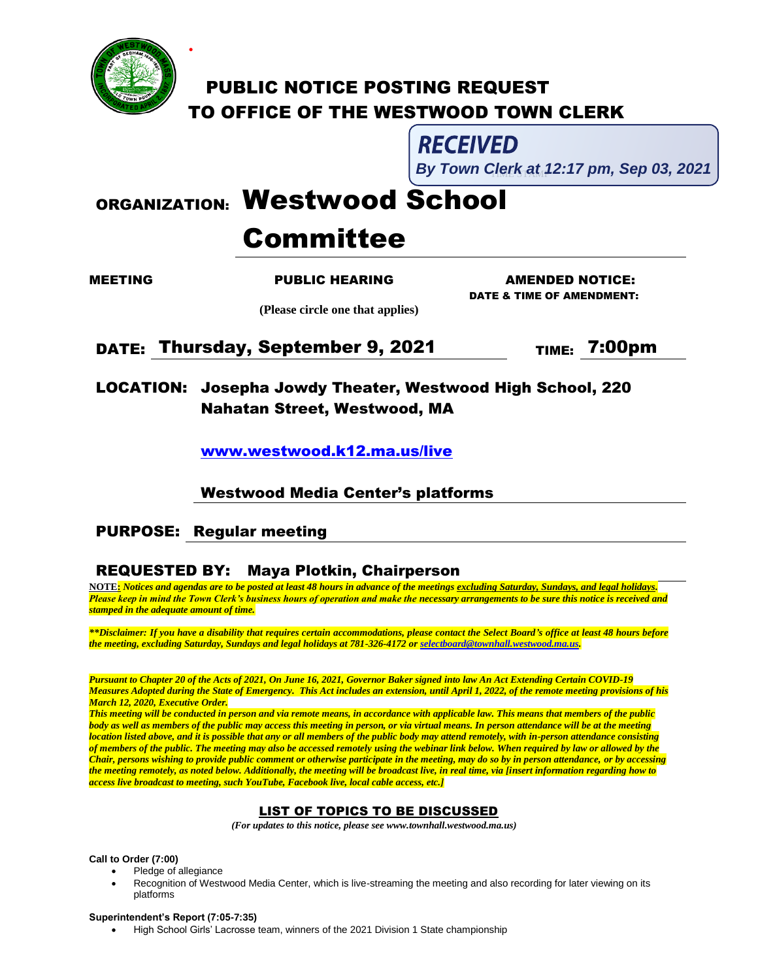

**.**

# **PUBLIC NOTICE POSTING REQUEST** TO OFFICE OF THE WESTWOOD TOWN CLERK

# RECEIVED

l, **By Town Clerk at 12:17 pm, Sep 03, 2021** 

# ORGANIZATION: Westwood School

# Committee

 **(Please circle one that applies)**

MEETING PUBLIC HEARING AMENDED NOTICE: DATE & TIME OF AMENDMENT:

DATE: Thursday, September 9, 2021 TIME: 7:00pm

LOCATION: Josepha Jowdy Theater, Westwood High School, 220 Nahatan Street, Westwood, MA

[www.westwood.k12.ma.us/live](http://www.westwood.k12.ma.us/live)

## Westwood Media Center's platforms

# PURPOSE: Regular meeting

# REQUESTED BY: Maya Plotkin, Chairperson

**NOTE:** *Notices and agendas are to be posted at least 48 hours in advance of the meetings excluding Saturday, Sundays, and legal holidays. Please keep in mind the Town Clerk's business hours of operation and make the necessary arrangements to be sure this notice is received and stamped in the adequate amount of time.*

*\*\*Disclaimer: If you have a disability that requires certain accommodations, please contact the Select Board's office at least 48 hours before the meeting, excluding Saturday, Sundays and legal holidays at 781-326-4172 o[r selectboard@townhall.westwood.ma.us.](mailto:selectboard@townhall.westwood.ma.us)*

*Pursuant to Chapter 20 of the Acts of 2021, On June 16, 2021, Governor Baker signed into law An Act Extending Certain COVID-19 Measures Adopted during the State of Emergency. This Act includes an extension, until April 1, 2022, of the remote meeting provisions of his March 12, 2020, Executive Order.* 

*This meeting will be conducted in person and via remote means, in accordance with applicable law. This means that members of the public body as well as members of the public may access this meeting in person, or via virtual means. In person attendance will be at the meeting location listed above, and it is possible that any or all members of the public body may attend remotely, with in-person attendance consisting of members of the public. The meeting may also be accessed remotely using the webinar link below. When required by law or allowed by the Chair, persons wishing to provide public comment or otherwise participate in the meeting, may do so by in person attendance, or by accessing the meeting remotely, as noted below. Additionally, the meeting will be broadcast live, in real time, via [insert information regarding how to access live broadcast to meeting, such YouTube, Facebook live, local cable access, etc.]*

### LIST OF TOPICS TO BE DISCUSSED

 *(For updates to this notice, please see www.townhall.westwood.ma.us)*

**Call to Order (7:00)**

- Pledge of allegiance
- Recognition of Westwood Media Center, which is live-streaming the meeting and also recording for later viewing on its platforms

#### **Superintendent's Report (7:05-7:35)**

High School Girls' Lacrosse team, winners of the 2021 Division 1 State championship